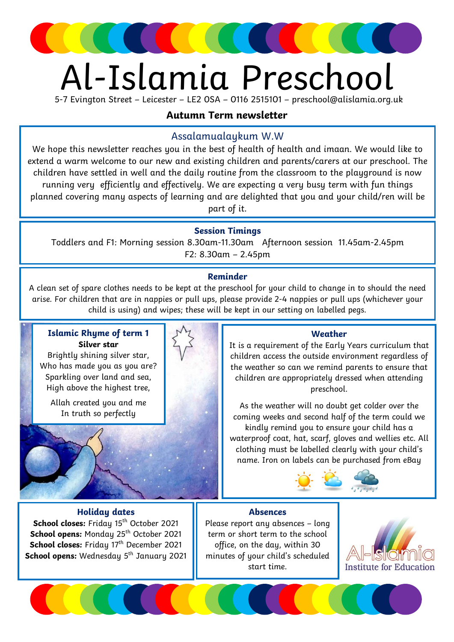

# Al-Islamia Preschool

5-7 Evington Street – Leicester – LE2 0SA – 0116 2515101 – preschool@alislamia.org.uk

## Autumn Term newsletter

## Assalamualaykum W.W

We hope this newsletter reaches you in the best of health of health and imaan. We would like to extend a warm welcome to our new and existing children and parents/carers at our preschool. The children have settled in well and the daily routine from the classroom to the playground is now running very efficiently and effectively. We are expecting a very busy term with fun things planned covering many aspects of learning and are delighted that you and your child/ren will be part of it.

#### Session Timings

Toddlers and F1: Morning session 8.30am-11.30am Afternoon session 11.45am-2.45pm F2: 8.30am – 2.45pm

#### Reminder

A clean set of spare clothes needs to be kept at the preschool for your child to change in to should the need arise. For children that are in nappies or pull ups, please provide 2-4 nappies or pull ups (whichever your child is using) and wipes; these will be kept in our setting on labelled pegs.

#### Islamic Rhyme of term 1 Silver star

Brightly shining silver star, Who has made you as you are? Sparkling over land and sea, High above the highest tree,

Allah created you and me In truth so perfectly



#### Weather

It is a requirement of the Early Years curriculum that children access the outside environment regardless of the weather so can we remind parents to ensure that children are appropriately dressed when attending preschool.

As the weather will no doubt get colder over the coming weeks and second half of the term could we kindly remind you to ensure your child has a waterproof coat, hat, scarf, gloves and wellies etc. All clothing must be labelled clearly with your child's name. Iron on labels can be purchased from eBay



#### Holiday dates

School closes: Friday 15<sup>th</sup> October 2021 School opens: Monday 25<sup>th</sup> October 2021 School closes: Friday 17<sup>th</sup> December 2021 **School opens:** Wednesday  $5<sup>th</sup>$  January 2021

#### Absences

Please report any absences – long term or short term to the school office, on the day, within 30 minutes of your child's scheduled start time.

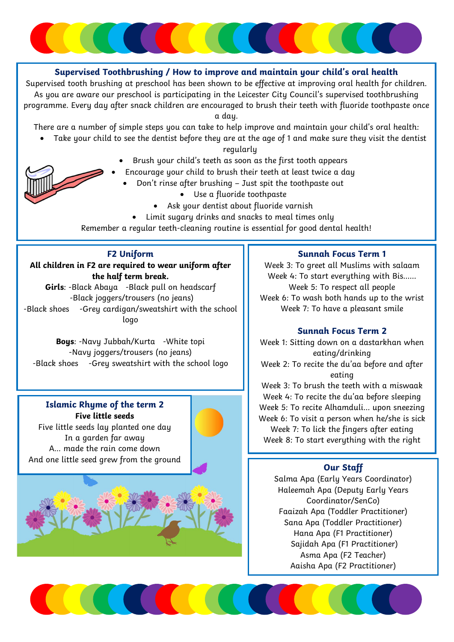

#### Supervised Toothbrushing / How to improve and maintain your child's oral health

Supervised tooth brushing at preschool has been shown to be effective at improving oral health for children. As you are aware our preschool is participating in the Leicester City Council's supervised toothbrushing programme. Every day after snack children are encouraged to brush their teeth with fluoride toothpaste once a day.

There are a number of simple steps you can take to help improve and maintain your child's oral health:

Take your child to see the dentist before they are at the age of 1 and make sure they visit the dentist

regularly

- Brush your child's teeth as soon as the first tooth appears
- Encourage your child to brush their teeth at least twice a day
	- Don't rinse after brushing Just spit the toothpaste out
		- Use a fluoride toothpaste
		- Ask your dentist about fluoride varnish
		- Limit sugary drinks and snacks to meal times only

Remember a regular teeth-cleaning routine is essential for good dental health!

#### F2 Uniform

All children in F2 are required to wear uniform after the half term break.

Girls: -Black Abaya -Black pull on headscarf -Black joggers/trousers (no jeans) -Black shoes -Grey cardigan/sweatshirt with the school logo

Boys: -Navy Jubbah/Kurta -White topi -Navy joggers/trousers (no jeans) -Black shoes -Grey sweatshirt with the school logo

## Islamic Rhyme of the term 2 Five little seeds

Five little seeds lay planted one day In a garden far away A… made the rain come down And one little seed grew from the ground



#### Sunnah Focus Term 1

Week 3: To greet all Muslims with salaam Week 4: To start everything with Bis…… Week 5: To respect all people Week 6: To wash both hands up to the wrist Week 7: To have a pleasant smile

#### Sunnah Focus Term 2

Week 1: Sitting down on a dastarkhan when eating/drinking Week 2: To recite the du'aa before and after eating Week 3: To brush the teeth with a miswaak Week 4: To recite the du'aa before sleeping

Week 5: To recite Alhamduli… upon sneezing Week 6: To visit a person when he/she is sick Week 7: To lick the fingers after eating Week 8: To start everything with the right

#### Our Staff

Salma Apa (Early Years Coordinator) Haleemah Apa (Deputy Early Years Coordinator/SenCo) Faaizah Apa (Toddler Practitioner) Sana Apa (Toddler Practitioner) Hana Apa (F1 Practitioner) Sajidah Apa (F1 Practitioner) Asma Apa (F2 Teacher) Aaisha Apa (F2 Practitioner)

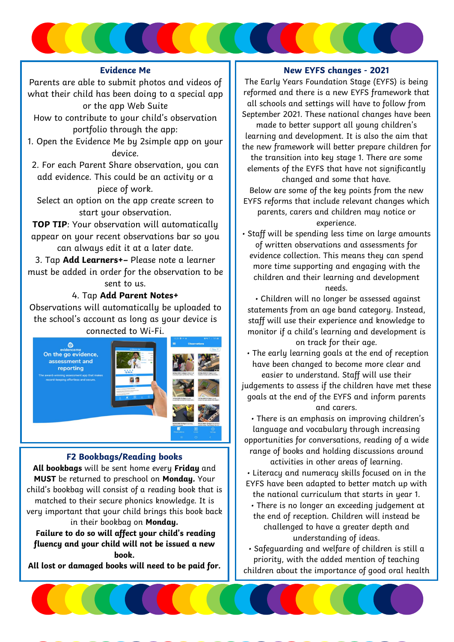#### Evidence Me

Parents are able to submit photos and videos of what their child has been doing to a special app or the app Web Suite

- How to contribute to your child's observation portfolio through the app:
- 1. Open the Evidence Me by 2simple app on your device.
- 2. For each Parent Share observation, you can add evidence. This could be an activity or a piece of work.

Select an option on the app create screen to start your observation.

TOP TIP: Your observation will automatically appear on your recent observations bar so you can always edit it at a later date.

3. Tap Add Learners+– Please note a learner must be added in order for the observation to be sent to us.

#### 4. Tap Add Parent Notes+

Observations will automatically be uploaded to the school's account as long as your device is connected to Wi-Fi.



#### F2 Bookbags/Reading books

All bookbags will be sent home every Friday and MUST be returned to preschool on Monday. Your child's bookbag will consist of a reading book that is matched to their secure phonics knowledge. It is very important that your child brings this book back in their bookbag on Monday.

 Failure to do so will affect your child's reading fluency and your child will not be issued a new book.

All lost or damaged books will need to be paid for.

#### New EYFS changes - 2021

The Early Years Foundation Stage (EYFS) is being reformed and there is a new EYFS framework that all schools and settings will have to follow from September 2021. These national changes have been made to better support all young children's learning and development. It is also the aim that the new framework will better prepare children for the transition into key stage 1. There are some elements of the EYFS that have not significantly changed and some that have.

Below are some of the key points from the new EYFS reforms that include relevant changes which parents, carers and children may notice or experience.

• Staff will be spending less time on large amounts of written observations and assessments for evidence collection. This means they can spend more time supporting and engaging with the children and their learning and development needs.

 • Children will no longer be assessed against statements from an age band category. Instead, staff will use their experience and knowledge to monitor if a child's learning and development is on track for their age.

 • The early learning goals at the end of reception have been changed to become more clear and easier to understand. Staff will use their judgements to assess if the children have met these goals at the end of the EYFS and inform parents and carers.

 • There is an emphasis on improving children's language and vocabulary through increasing opportunities for conversations, reading of a wide range of books and holding discussions around activities in other areas of learning.

• Literacy and numeracy skills focused on in the EYFS have been adapted to better match up with

the national curriculum that starts in year 1. • There is no longer an exceeding judgement at the end of reception. Children will instead be challenged to have a greater depth and understanding of ideas.

• Safeguarding and welfare of children is still a priority, with the added mention of teaching children about the importance of good oral health

and how to keep teeth clean and healthy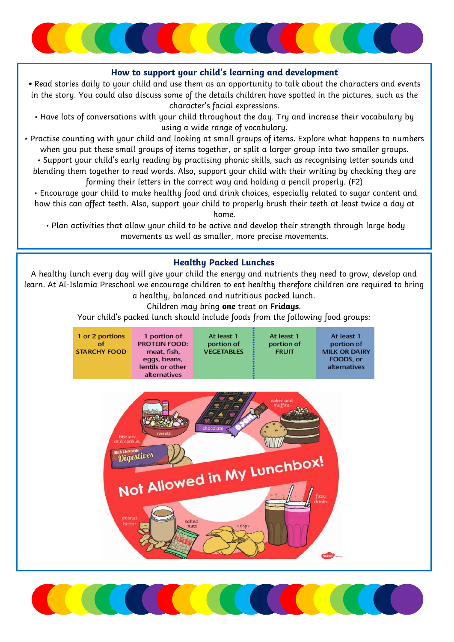

#### How to support your child's learning and development

• Read stories daily to your child and use them as an opportunity to talk about the characters and events in the story. You could also discuss some of the details children have spotted in the pictures, such as the character's facial expressions.

• Have lots of conversations with your child throughout the day. Try and increase their vocabulary by using a wide range of vocabulary.

• Practise counting with your child and looking at small groups of items. Explore what happens to numbers when you put these small groups of items together, or split a larger group into two smaller groups.

 • Support your child's early reading by practising phonic skills, such as recognising letter sounds and blending them together to read words. Also, support your child with their writing by checking they are forming their letters in the correct way and holding a pencil properly. (F2)

 how this can affect teeth. Also, support your child to properly brush their teeth at least twice a day at • Encourage your child to make healthy food and drink choices, especially related to sugar content and home.

 • Plan activities that allow your child to be active and develop their strength through large body movements as well as smaller, more precise movements.

#### Healthy Packed Lunches

A healthy lunch every day will give your child the energy and nutrients they need to grow, develop and learn. At Al-Islamia Preschool we encourage children to eat healthy therefore children are required to bring a healthy, balanced and nutritious packed lunch.

Children may bring one treat on Fridays.

Your child's packed lunch should include foods from the following food groups:

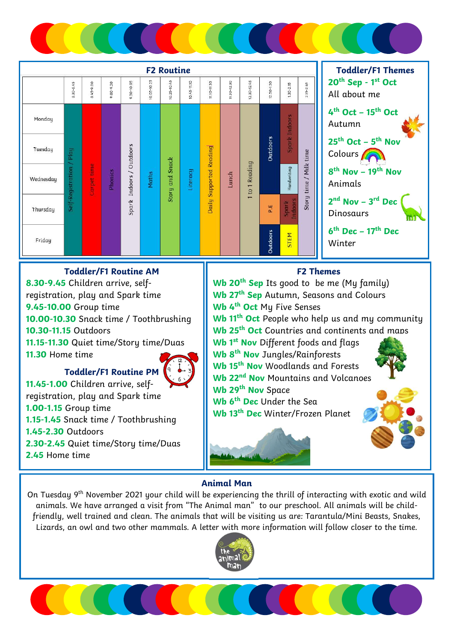



#### Toddler/F1 Routine AM

8.30-9.45 Children arrive, selfregistration, play and Spark time 9.45-10.00 Group time 10.00-10.30 Snack time / Toothbrushing 10.30-11.15 Outdoors 11.15-11.30 Quiet time/Story time/Duas 11.30 Home time Toddler/F1 Routine PM



 2.30-2.45 Quiet time/Story time/Duas 11.45-1.00 Children arrive, selfregistration, play and Spark time 1.00-1.15 Group time 1.15-1.45 Snack time / Toothbrushing 1.45-2.30 Outdoors 2.45 Home time

# F2 Themes Wb 20<sup>th</sup> Sep Its good to be me (My family) Wb 27<sup>th</sup> Sep Autumn, Seasons and Colours Wh 4<sup>th</sup> Oct My Five Senses Wb 11<sup>th</sup> Oct People who help us and my community Wb 25<sup>th</sup> Oct Countries and continents and maps Wb 1<sup>st</sup> Nov Different foods and flags Wh 8<sup>th</sup> Nov Jungles/Rainforests Wb 15<sup>th</sup> Nov Woodlands and Forests Wb 22<sup>nd</sup> Nov Mountains and Volcanoes Wh 29<sup>th</sup> Nov Space Wh 6<sup>th</sup> Dec Under the Sea Wb 13<sup>th</sup> Dec Winter/Frozen Planet

#### Animal Man

On Tuesday 9<sup>th</sup> November 2021 your child will be experiencing the thrill of interacting with exotic and wild animals. We have arranged a visit from "The Animal man" to our preschool. All animals will be childfriendly, well trained and clean. The animals that will be visiting us are: Tarantula/Mini Beasts, Snakes, Lizards, an owl and two other mammals. A letter with more information will follow closer to the time.